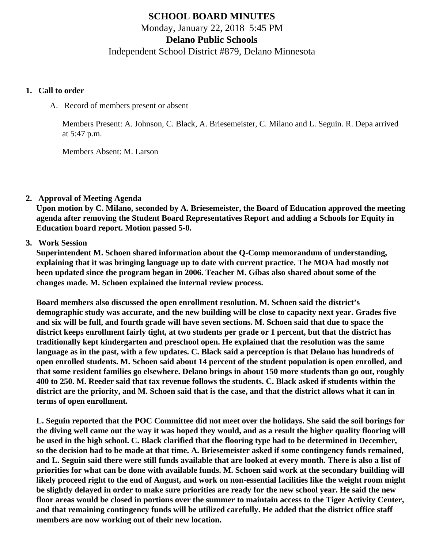# **SCHOOL BOARD MINUTES** Monday, January 22, 2018 5:45 PM **Delano Public Schools** Independent School District #879, Delano Minnesota

#### **1. Call to order**

A. Record of members present or absent

Members Present: A. Johnson, C. Black, A. Briesemeister, C. Milano and L. Seguin. R. Depa arrived at 5:47 p.m.

Members Absent: M. Larson

**2. Approval of Meeting Agenda**

**Upon motion by C. Milano, seconded by A. Briesemeister, the Board of Education approved the meeting agenda after removing the Student Board Representatives Report and adding a Schools for Equity in Education board report. Motion passed 5-0.**

**3. Work Session**

**Superintendent M. Schoen shared information about the Q-Comp memorandum of understanding, explaining that it was bringing language up to date with current practice. The MOA had mostly not been updated since the program began in 2006. Teacher M. Gibas also shared about some of the changes made. M. Schoen explained the internal review process.**

**Board members also discussed the open enrollment resolution. M. Schoen said the district's demographic study was accurate, and the new building will be close to capacity next year. Grades five and six will be full, and fourth grade will have seven sections. M. Schoen said that due to space the district keeps enrollment fairly tight, at two students per grade or 1 percent, but that the district has traditionally kept kindergarten and preschool open. He explained that the resolution was the same language as in the past, with a few updates. C. Black said a perception is that Delano has hundreds of open enrolled students. M. Schoen said about 14 percent of the student population is open enrolled, and that some resident families go elsewhere. Delano brings in about 150 more students than go out, roughly 400 to 250. M. Reeder said that tax revenue follows the students. C. Black asked if students within the district are the priority, and M. Schoen said that is the case, and that the district allows what it can in terms of open enrollment.**

**L. Seguin reported that the POC Committee did not meet over the holidays. She said the soil borings for the diving well came out the way it was hoped they would, and as a result the higher quality flooring will be used in the high school. C. Black clarified that the flooring type had to be determined in December, so the decision had to be made at that time. A. Briesemeister asked if some contingency funds remained, and L. Seguin said there were still funds available that are looked at every month. There is also a list of priorities for what can be done with available funds. M. Schoen said work at the secondary building will likely proceed right to the end of August, and work on non-essential facilities like the weight room might be slightly delayed in order to make sure priorities are ready for the new school year. He said the new floor areas would be closed in portions over the summer to maintain access to the Tiger Activity Center, and that remaining contingency funds will be utilized carefully. He added that the district office staff members are now working out of their new location.**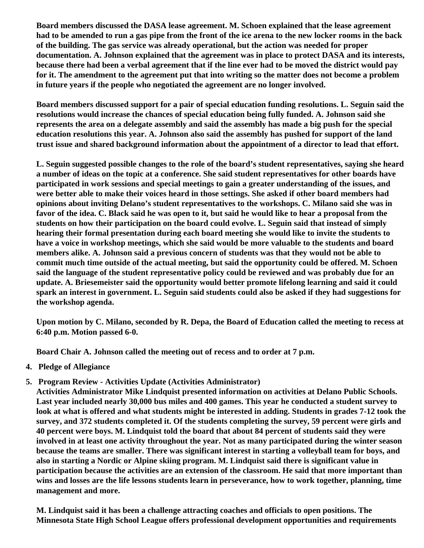**Board members discussed the DASA lease agreement. M. Schoen explained that the lease agreement had to be amended to run a gas pipe from the front of the ice arena to the new locker rooms in the back of the building. The gas service was already operational, but the action was needed for proper documentation. A. Johnson explained that the agreement was in place to protect DASA and its interests, because there had been a verbal agreement that if the line ever had to be moved the district would pay for it. The amendment to the agreement put that into writing so the matter does not become a problem in future years if the people who negotiated the agreement are no longer involved.**

**Board members discussed support for a pair of special education funding resolutions. L. Seguin said the resolutions would increase the chances of special education being fully funded. A. Johnson said she represents the area on a delegate assembly and said the assembly has made a big push for the special education resolutions this year. A. Johnson also said the assembly has pushed for support of the land trust issue and shared background information about the appointment of a director to lead that effort.**

**L. Seguin suggested possible changes to the role of the board's student representatives, saying she heard a number of ideas on the topic at a conference. She said student representatives for other boards have participated in work sessions and special meetings to gain a greater understanding of the issues, and were better able to make their voices heard in those settings. She asked if other board members had opinions about inviting Delano's student representatives to the workshops. C. Milano said she was in favor of the idea. C. Black said he was open to it, but said he would like to hear a proposal from the students on how their participation on the board could evolve. L. Seguin said that instead of simply hearing their formal presentation during each board meeting she would like to invite the students to have a voice in workshop meetings, which she said would be more valuable to the students and board members alike. A. Johnson said a previous concern of students was that they would not be able to commit much time outside of the actual meeting, but said the opportunity could be offered. M. Schoen said the language of the student representative policy could be reviewed and was probably due for an update. A. Briesemeister said the opportunity would better promote lifelong learning and said it could spark an interest in government. L. Seguin said students could also be asked if they had suggestions for the workshop agenda.**

**Upon motion by C. Milano, seconded by R. Depa, the Board of Education called the meeting to recess at 6:40 p.m. Motion passed 6-0.**

**Board Chair A. Johnson called the meeting out of recess and to order at 7 p.m.**

- **4. Pledge of Allegiance**
- **5. Program Review Activities Update (Activities Administrator)**

**Activities Administrator Mike Lindquist presented information on activities at Delano Public Schools. Last year included nearly 30,000 bus miles and 400 games. This year he conducted a student survey to look at what is offered and what students might be interested in adding. Students in grades 7-12 took the survey, and 372 students completed it. Of the students completing the survey, 59 percent were girls and 40 percent were boys. M. Lindquist told the board that about 84 percent of students said they were involved in at least one activity throughout the year. Not as many participated during the winter season because the teams are smaller. There was significant interest in starting a volleyball team for boys, and also in starting a Nordic or Alpine skiing program. M. Lindquist said there is significant value in participation because the activities are an extension of the classroom. He said that more important than wins and losses are the life lessons students learn in perseverance, how to work together, planning, time management and more.**

**M. Lindquist said it has been a challenge attracting coaches and officials to open positions. The Minnesota State High School League offers professional development opportunities and requirements**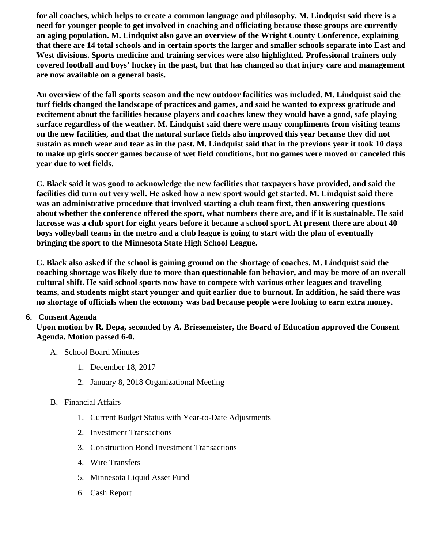for all coaches, which helps to create a common language and philosophy. M. Lindquist said there is a need for younger people to get involved in coaching and officiating because those groups are currently an aging population. M. Lindquist also gave an overview of the Wright County Conference, explaining that there are 14 total schools and in certain sports the larger and smaller schools separate into East and West divisions. Sports medicine and training services were also highlighted. Professional trainers only covered football and boys' hockey in the past, but that has changed so that injury care and management are now available on a general basis.

An overview of the fall sports season and the new outdoor facilities was included. M. Lindquist said the turf fields changed the landscape of practices and games, and said he wanted to express gratitude and excitement about the facilities because players and coaches knew they would have a good, safe playing surface regardless of the weather. M. Lindquist said there were many compliments from visiting teams on the new facilities, and that the natural surface fields also improved this year because they did not sustain as much wear and tear as in the past. M. Lindquist said that in the previous year it took 10 days to make up girls soccer games because of wet field conditions, but no games were moved or canceled this year due to wet fields.

C. Black said it was good to acknowledge the new facilities that taxpayers have provided, and said the facilities did turn out very well. He asked how a new sport would get started. M. Lindquist said there was an administrative procedure that involved starting a club team first, then answering questions about whether the conference offered the sport, what numbers there are, and if it is sustainable. He said lacrosse was a club sport for eight years before it became a school sport. At present there are about 40 boys volleyball teams in the metro and a club league is going to start with the plan of eventually bringing the sport to the Minnesota State High School League.

C. Black also asked if the school is gaining ground on the shortage of coaches. M. Lindquist said the coaching shortage was likely due to more than questionable fan behavior, and may be more of an overall cultural shift. He said school sports now have to compete with various other leagues and traveling teams, and students might start younger and quit earlier due to burnout. In addition, he said there was no shortage of officials when the economy was bad because people were looking to earn extra money.

# 6. Consent Agenda

Upon motion by R. Depa, seconded by A. Briesemeister, the Board of Education approved the Consent Agenda. Motion passed 6-0.

- A. School Board Minutes
	- 1. [December 18, 201](http://www.delano.k12.mn.us/pb/app/agenda/minutes/165)7
	- 2. [January 8, 2018 Organizational Meet](http://www.delano.k12.mn.us/pb/app/agenda/minutes/167)ing
- B. Financial Affairs
	- 1. [Current Budget Status with Year-to-Date Adjustm](/docs/district/Business_Office/FY18_Budget_Report_Jan.pdf)ents
	- 2. [Investment Transactio](/docs/district/Business_Office/Investments_December_2017.pdf)ns
	- 3. [Construction Bond Investment Transacti](/docs/district/Business_Office/Bond_Investment_schedule_Dec_17.pdf)ons
	- 4. [Wire Transfer](/docs/district/Business_Office/Wire_Transfers_December_2017.pdf)s
	- 5. [Minnesota Liquid Asset Fun](/docs/district/Business_Office/LAF_December_2017.pdf)d
	- 6. [Cash Repo](/docs/district/Business_Office/Cash_Report_December_2017.pdf)rt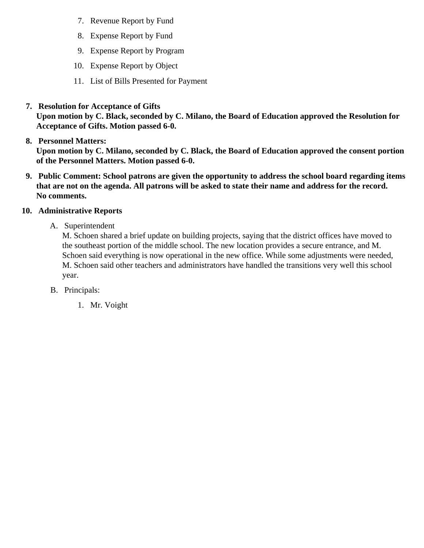- 7. [Revenue Report by Fu](/docs/district/Business_Office/SCHOOL_BOARD_REPORTS_-_REVENUE_BY_FUND_TOTAL__(Date__6_2018).pdf )nd
- 8. [Expense Report by Fu](/docs/district/Business_Office/SCHOOL_BOARD_REPORTS_-_EXP_BY_FUND_TOTAL__(Date__6_2018).pdf)nd
- 9. [Expense Report by Progra](/docs/district/Business_Office/SCHOOL_BOARD_REPORTS_-_EXPENDITURES_BY_PROGRAM__(Date__6_2018).pdf)m
- 10. [Expense Report by Obje](/docs/district/Business_Office/SCHOOL_BOARD_REPORTS_-_EXPENDITURES_BY_OBJECT__(Date__6_2018).pdf)ct
- 11. [List of Bills Presented for Payme](/docs/district/Business_Office/DETAIL_OF_MONTHLY_BILLS_PRESENTED_FOR_PAYMENT_(Dates__12_01_17_-_01_17_18).pdf)nt
- 7. [Resolution for Acceptance of Gifts](/docs/district/Business_Office/Resolution_for_Acceptance_of_Gifts_1.22.18.pdf)

Upon motion by C. Black, seconded by C. Milano, the Board of Education approved the Resolution for Acceptance of Gifts. Motion passed 6-0.

8. [Personnel Matters:](/docs/district/HR/1.22.18_Personnel.pdf)

Upon motion by C. Milano, seconded by C. Black, the Board of Education approved the consent portion of the Personnel Matters. Motion passed 6-0.

- 9. Public Comment: School patrons are given the opportunity to address the school board regarding items that are not on the agenda. All patrons will be asked to state their name and address for the record. No comments.
- 10. Administrative Reports
	- A. Superintendent

M. Schoen shared a brief update on building projects, saying that the district offices have moved to the southeast portion of the middle school. The new location provides a secure entrance, and M. Schoen said everything is now operational in the new office. While some adjustments were needed M. Schoen said other teachers and administrators have handled the transitions very well this schoo year.

- B. Principals:
	- 1. Mr. Voight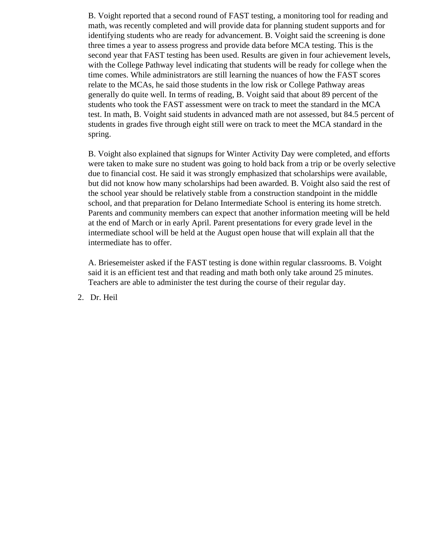B. Voight reported that a second round of FAST testing, a monitoring tool for reading and math, was recently completed and will provide data for planning student supports and for identifying students who are ready for advancement. B. Voight said the screening is done three times a year to assess progress and provide data before MCA testing. This is the second year that FAST testing has been used. Results are given in four achievement levels, with the College Pathway level indicating that students will be ready for college when the time comes. While administrators are still learning the nuances of how the FAST scores relate to the MCAs, he said those students in the low risk or College Pathway areas generally do quite well. In terms of reading, B. Voight said that about 89 percent of the students who took the FAST assessment were on track to meet the standard in the MCA test. In math, B. Voight said students in advanced math are not assessed, but 84.5 percent of students in grades five through eight still were on track to meet the MCA standard in the spring.

B. Voight also explained that signups for Winter Activity Day were completed, and efforts were taken to make sure no student was going to hold back from a trip or be overly selective due to financial cost. He said it was strongly emphasized that scholarships were available, but did not know how many scholarships had been awarded. B. Voight also said the rest of the school year should be relatively stable from a construction standpoint in the middle school, and that preparation for Delano Intermediate School is entering its home stretch. Parents and community members can expect that another information meeting will be held at the end of March or in early April. Parent presentations for every grade level in the intermediate school will be held at the August open house that will explain all that the intermediate has to offer.

A. Briesemeister asked if the FAST testing is done within regular classrooms. B. Voight said it is an efficient test and that reading and math both only take around 25 minutes. Teachers are able to administer the test during the course of their regular day.

2. Dr. Heil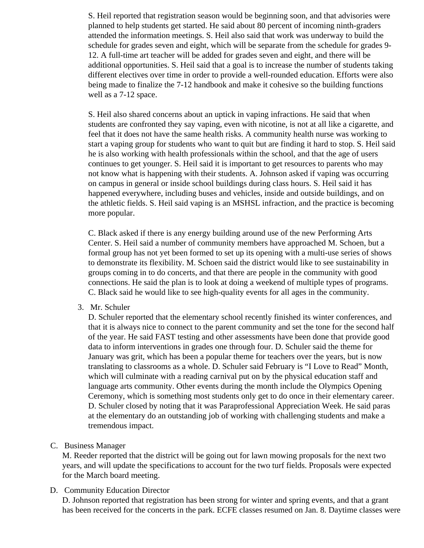S. Heil reported that registration season would be beginning soon, and that advisories were planned to help students get started. He said about 80 percent of incoming ninth-graders attended the information meetings. S. Heil also said that work was underway to build the schedule for grades seven and eight, which will be separate from the schedule for grades 9- 12. A full-time art teacher will be added for grades seven and eight, and there will be additional opportunities. S. Heil said that a goal is to increase the number of students taking different electives over time in order to provide a well-rounded education. Efforts were also being made to finalize the 7-12 handbook and make it cohesive so the building functions well as a 7-12 space.

S. Heil also shared concerns about an uptick in vaping infractions. He said that when students are confronted they say vaping, even with nicotine, is not at all like a cigarette, and feel that it does not have the same health risks. A community health nurse was working to start a vaping group for students who want to quit but are finding it hard to stop. S. Heil said he is also working with health professionals within the school, and that the age of users continues to get younger. S. Heil said it is important to get resources to parents who may not know what is happening with their students. A. Johnson asked if vaping was occurring on campus in general or inside school buildings during class hours. S. Heil said it has happened everywhere, including buses and vehicles, inside and outside buildings, and on the athletic fields. S. Heil said vaping is an MSHSL infraction, and the practice is becoming more popular.

C. Black asked if there is any energy building around use of the new Performing Arts Center. S. Heil said a number of community members have approached M. Schoen, but a formal group has not yet been formed to set up its opening with a multi-use series of shows to demonstrate its flexibility. M. Schoen said the district would like to see sustainability in groups coming in to do concerts, and that there are people in the community with good connections. He said the plan is to look at doing a weekend of multiple types of programs. C. Black said he would like to see high-quality events for all ages in the community.

3. Mr. Schuler

D. Schuler reported that the elementary school recently finished its winter conferences, and that it is always nice to connect to the parent community and set the tone for the second half of the year. He said FAST testing and other assessments have been done that provide good data to inform interventions in grades one through four. D. Schuler said the theme for January was grit, which has been a popular theme for teachers over the years, but is now translating to classrooms as a whole. D. Schuler said February is "I Love to Read" Month, which will culminate with a reading carnival put on by the physical education staff and language arts community. Other events during the month include the Olympics Opening Ceremony, which is something most students only get to do once in their elementary career. D. Schuler closed by noting that it was Paraprofessional Appreciation Week. He said paras at the elementary do an outstanding job of working with challenging students and make a tremendous impact.

C. Business Manager

M. Reeder reported that the district will be going out for lawn mowing proposals for the next two years, and will update the specifications to account for the two turf fields. Proposals were expected for the March board meeting.

D. Community Education Director

D. Johnson reported that registration has been strong for winter and spring events, and that a grant has been received for the concerts in the park. ECFE classes resumed on Jan. 8. Daytime classes were